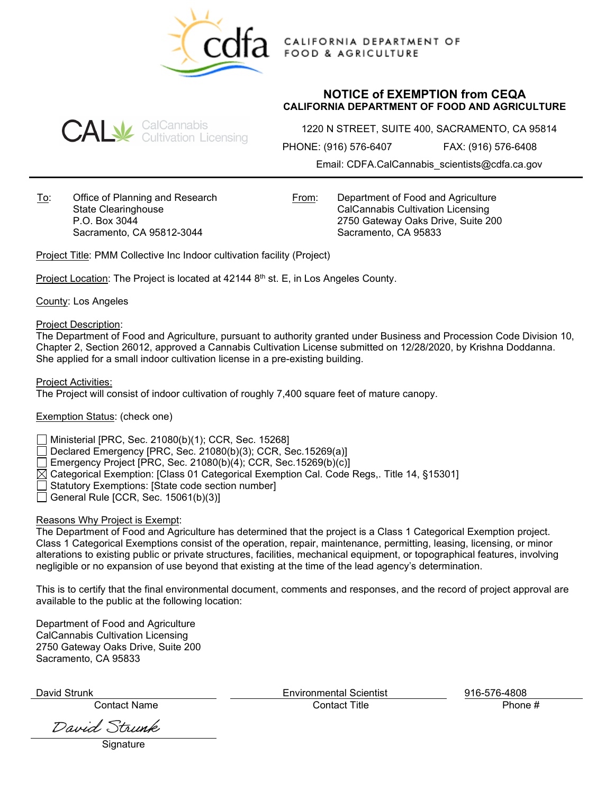

CALIFORNIA DEPARTMENT OF **FOOD & AGRICULTURE** 

## **NOTICE of EXEMPTION from CEQA CALIFORNIA DEPARTMENT OF FOOD AND AGRICULTURE**



1220 N STREET, SUITE 400, SACRAMENTO, CA 95814

PHONE: (916) 576-6407 FAX: (916) 576-6408

Email: CDFA.CalCannabis\_scientists@cdfa.ca.gov

To: Office of Planning and Research State Clearinghouse P.O. Box 3044 Sacramento, CA 95812-3044

From: Department of Food and Agriculture CalCannabis Cultivation Licensing 2750 Gateway Oaks Drive, Suite 200 Sacramento, CA 95833

Project Title: PMM Collective Inc Indoor cultivation facility (Project)

Project Location: The Project is located at 42144 8<sup>th</sup> st. E, in Los Angeles County.

County: Los Angeles

Project Description:

The Department of Food and Agriculture, pursuant to authority granted under Business and Procession Code Division 10, Chapter 2, Section 26012, approved a Cannabis Cultivation License submitted on 12/28/2020, by Krishna Doddanna. She applied for a small indoor cultivation license in a pre-existing building.

Project Activities:

The Project will consist of indoor cultivation of roughly 7,400 square feet of mature canopy.

Exemption Status: (check one)

Ministerial [PRC, Sec. 21080(b)(1); CCR, Sec. 15268]

Declared Emergency [PRC, Sec. 21080(b)(3); CCR, Sec.15269(a)]

Emergency Project [PRC, Sec. 21080(b)(4); CCR, Sec.15269(b)(c)]

 $\boxtimes$  Categorical Exemption: [Class 01 Categorical Exemption Cal. Code Regs,. Title 14, §15301]

Statutory Exemptions: [State code section number]

 $\Box$  General Rule [CCR, Sec. 15061(b)(3)]

## Reasons Why Project is Exempt:

The Department of Food and Agriculture has determined that the project is a Class 1 Categorical Exemption project. Class 1 Categorical Exemptions consist of the operation, repair, maintenance, permitting, leasing, licensing, or minor alterations to existing public or private structures, facilities, mechanical equipment, or topographical features, involving negligible or no expansion of use beyond that existing at the time of the lead agency's determination.

This is to certify that the final environmental document, comments and responses, and the record of project approval are available to the public at the following location:

Department of Food and Agriculture CalCannabis Cultivation Licensing 2750 Gateway Oaks Drive, Suite 200 Sacramento, CA 95833

Contact Name Contact Title Phone #

David Strunk

**Signature** 

David Strunk Environmental Scientist 916-576-4808